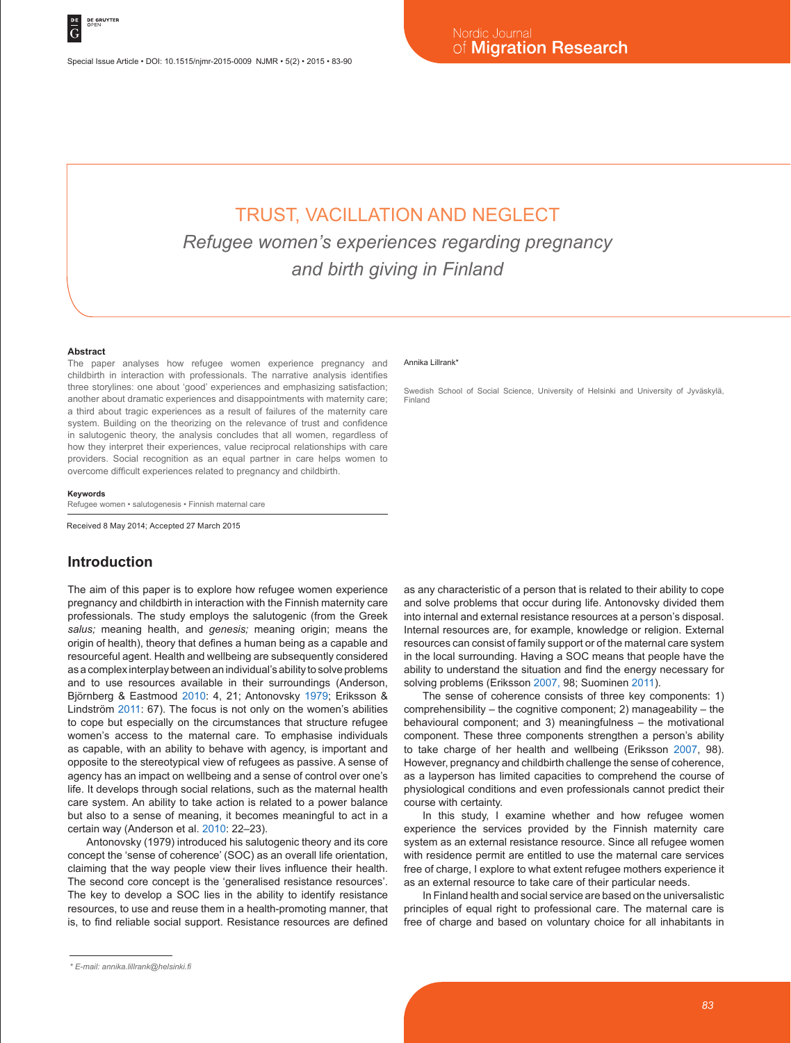# TRUST, VACILLATION AND NEGLECT *Refugee women's experiences regarding pregnancy and birth giving in Finland*

#### **Abstract**

The paper analyses how refugee women experience pregnancy and childbirth in interaction with professionals. The narrative analysis identifies three storylines: one about 'good' experiences and emphasizing satisfaction; another about dramatic experiences and disappointments with maternity care; a third about tragic experiences as a result of failures of the maternity care system. Building on the theorizing on the relevance of trust and confidence in salutogenic theory, the analysis concludes that all women, regardless of how they interpret their experiences, value reciprocal relationships with care providers. Social recognition as an equal partner in care helps women to overcome difficult experiences related to pregnancy and childbirth.

#### **Keywords**

Refugee women • salutogenesis • Finnish maternal care

Received 8 May 2014; Accepted 27 March 2015

## **Introduction**

The aim of this paper is to explore how refugee women experience pregnancy and childbirth in interaction with the Finnish maternity care professionals. The study employs the salutogenic (from the Greek *salus;* meaning health, and *genesis;* meaning origin; means the origin of health), theory that defines a human being as a capable and resourceful agent. Health and wellbeing are subsequently considered as a complex interplay between an individual's ability to solve problems and to use resources available in their surroundings (Anderson, Björnberg & Eastmood 2010: 4, 21; Antonovsky 1979; Eriksson & Lindström 2011: 67). The focus is not only on the women's abilities to cope but especially on the circumstances that structure refugee women's access to the maternal care. To emphasise individuals as capable, with an ability to behave with agency, is important and opposite to the stereotypical view of refugees as passive. A sense of agency has an impact on wellbeing and a sense of control over one's life. It develops through social relations, such as the maternal health care system. An ability to take action is related to a power balance but also to a sense of meaning, it becomes meaningful to act in a certain way (Anderson et al. 2010: 22–23).

Antonovsky (1979) introduced his salutogenic theory and its core concept the 'sense of coherence' (SOC) as an overall life orientation, claiming that the way people view their lives influence their health. The second core concept is the 'generalised resistance resources'. The key to develop a SOC lies in the ability to identify resistance resources, to use and reuse them in a health-promoting manner, that is, to find reliable social support. Resistance resources are defined

#### Annika Lillrank\*

Swedish School of Social Science, University of Helsinki and University of Jyväskylä, Finland

as any characteristic of a person that is related to their ability to cope and solve problems that occur during life. Antonovsky divided them into internal and external resistance resources at a person's disposal. Internal resources are, for example, knowledge or religion. External resources can consist of family support or of the maternal care system in the local surrounding. Having a SOC means that people have the ability to understand the situation and find the energy necessary for solving problems (Eriksson 2007, 98; Suominen 2011).

The sense of coherence consists of three key components: 1) comprehensibility – the cognitive component; 2) manageability – the behavioural component; and 3) meaningfulness – the motivational component. These three components strengthen a person's ability to take charge of her health and wellbeing (Eriksson 2007, 98). However, pregnancy and childbirth challenge the sense of coherence, as a layperson has limited capacities to comprehend the course of physiological conditions and even professionals cannot predict their course with certainty.

In this study, I examine whether and how refugee women experience the services provided by the Finnish maternity care system as an external resistance resource. Since all refugee women with residence permit are entitled to use the maternal care services free of charge, I explore to what extent refugee mothers experience it as an external resource to take care of their particular needs.

In Finland health and social service are based on the universalistic principles of equal right to professional care. The maternal care is free of charge and based on voluntary choice for all inhabitants in

*<sup>\*</sup> E-mail: annika.lillrank@helsinki.fi*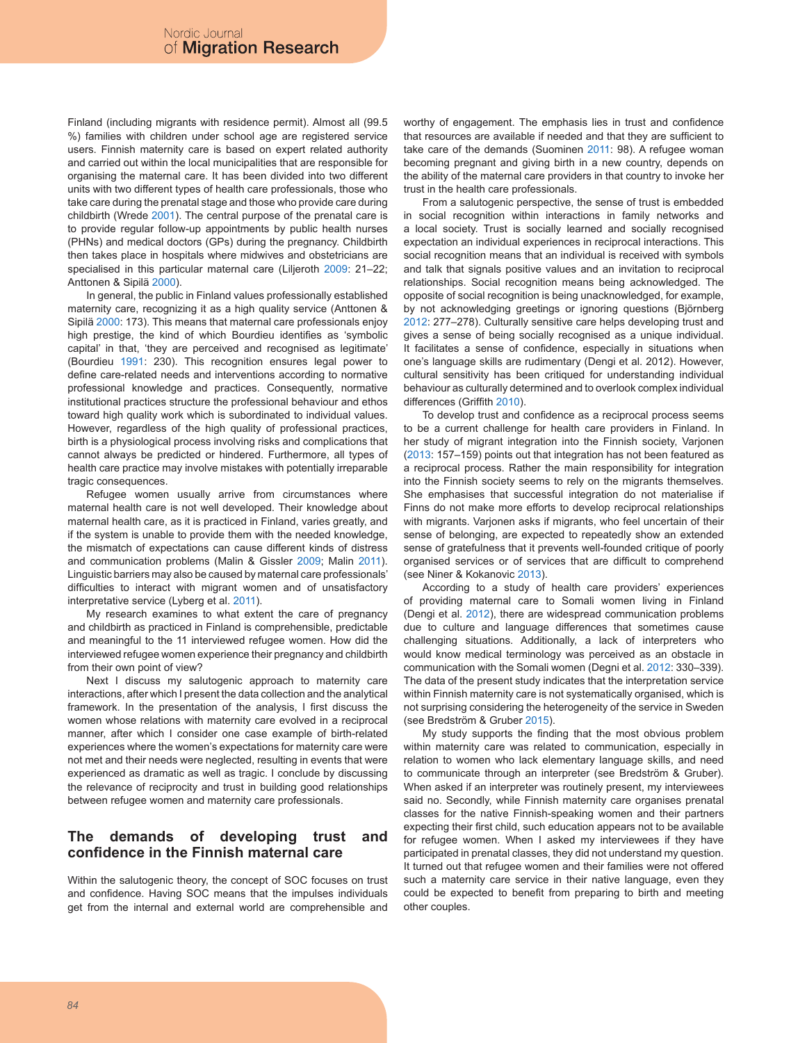Finland (including migrants with residence permit). Almost all (99.5 %) families with children under school age are registered service users. Finnish maternity care is based on expert related authority and carried out within the local municipalities that are responsible for organising the maternal care. It has been divided into two different units with two different types of health care professionals, those who take care during the prenatal stage and those who provide care during childbirth (Wrede 2001). The central purpose of the prenatal care is to provide regular follow-up appointments by public health nurses (PHNs) and medical doctors (GPs) during the pregnancy. Childbirth then takes place in hospitals where midwives and obstetricians are specialised in this particular maternal care (Liljeroth 2009: 21–22; Anttonen & Sipilä 2000).

In general, the public in Finland values professionally established maternity care, recognizing it as a high quality service (Anttonen & Sipilä 2000: 173). This means that maternal care professionals enjoy high prestige, the kind of which Bourdieu identifies as 'symbolic capital' in that, 'they are perceived and recognised as legitimate' (Bourdieu 1991: 230). This recognition ensures legal power to define care-related needs and interventions according to normative professional knowledge and practices. Consequently, normative institutional practices structure the professional behaviour and ethos toward high quality work which is subordinated to individual values. However, regardless of the high quality of professional practices, birth is a physiological process involving risks and complications that cannot always be predicted or hindered. Furthermore, all types of health care practice may involve mistakes with potentially irreparable tragic consequences.

Refugee women usually arrive from circumstances where maternal health care is not well developed. Their knowledge about maternal health care, as it is practiced in Finland, varies greatly, and if the system is unable to provide them with the needed knowledge, the mismatch of expectations can cause different kinds of distress and communication problems (Malin & Gissler 2009; Malin 2011). Linguistic barriers may also be caused by maternal care professionals' difficulties to interact with migrant women and of unsatisfactory interpretative service (Lyberg et al. 2011).

My research examines to what extent the care of pregnancy and childbirth as practiced in Finland is comprehensible, predictable and meaningful to the 11 interviewed refugee women. How did the interviewed refugee women experience their pregnancy and childbirth from their own point of view?

Next I discuss my salutogenic approach to maternity care interactions, after which I present the data collection and the analytical framework. In the presentation of the analysis, I first discuss the women whose relations with maternity care evolved in a reciprocal manner, after which I consider one case example of birth-related experiences where the women's expectations for maternity care were not met and their needs were neglected, resulting in events that were experienced as dramatic as well as tragic. I conclude by discussing the relevance of reciprocity and trust in building good relationships between refugee women and maternity care professionals.

# **The demands of developing trust and confidence in the Finnish maternal care**

Within the salutogenic theory, the concept of SOC focuses on trust and confidence. Having SOC means that the impulses individuals get from the internal and external world are comprehensible and worthy of engagement. The emphasis lies in trust and confidence that resources are available if needed and that they are sufficient to take care of the demands (Suominen 2011: 98). A refugee woman becoming pregnant and giving birth in a new country, depends on the ability of the maternal care providers in that country to invoke her trust in the health care professionals.

From a salutogenic perspective, the sense of trust is embedded in social recognition within interactions in family networks and a local society. Trust is socially learned and socially recognised expectation an individual experiences in reciprocal interactions. This social recognition means that an individual is received with symbols and talk that signals positive values and an invitation to reciprocal relationships. Social recognition means being acknowledged. The opposite of social recognition is being unacknowledged, for example, by not acknowledging greetings or ignoring questions (Björnberg 2012: 277–278). Culturally sensitive care helps developing trust and gives a sense of being socially recognised as a unique individual. It facilitates a sense of confidence, especially in situations when one's language skills are rudimentary (Dengi et al. 2012). However, cultural sensitivity has been critiqued for understanding individual behaviour as culturally determined and to overlook complex individual differences (Griffith 2010).

To develop trust and confidence as a reciprocal process seems to be a current challenge for health care providers in Finland. In her study of migrant integration into the Finnish society, Varjonen (2013: 157–159) points out that integration has not been featured as a reciprocal process. Rather the main responsibility for integration into the Finnish society seems to rely on the migrants themselves. She emphasises that successful integration do not materialise if Finns do not make more efforts to develop reciprocal relationships with migrants. Varjonen asks if migrants, who feel uncertain of their sense of belonging, are expected to repeatedly show an extended sense of gratefulness that it prevents well-founded critique of poorly organised services or of services that are difficult to comprehend (see Niner & Kokanovic 2013).

According to a study of health care providers' experiences of providing maternal care to Somali women living in Finland (Dengi et al. 2012), there are widespread communication problems due to culture and language differences that sometimes cause challenging situations. Additionally, a lack of interpreters who would know medical terminology was perceived as an obstacle in communication with the Somali women (Degni et al. 2012: 330–339). The data of the present study indicates that the interpretation service within Finnish maternity care is not systematically organised, which is not surprising considering the heterogeneity of the service in Sweden (see Bredström & Gruber 2015).

My study supports the finding that the most obvious problem within maternity care was related to communication, especially in relation to women who lack elementary language skills, and need to communicate through an interpreter (see Bredström & Gruber). When asked if an interpreter was routinely present, my interviewees said no. Secondly, while Finnish maternity care organises prenatal classes for the native Finnish-speaking women and their partners expecting their first child, such education appears not to be available for refugee women. When I asked my interviewees if they have participated in prenatal classes, they did not understand my question. It turned out that refugee women and their families were not offered such a maternity care service in their native language, even they could be expected to benefit from preparing to birth and meeting other couples.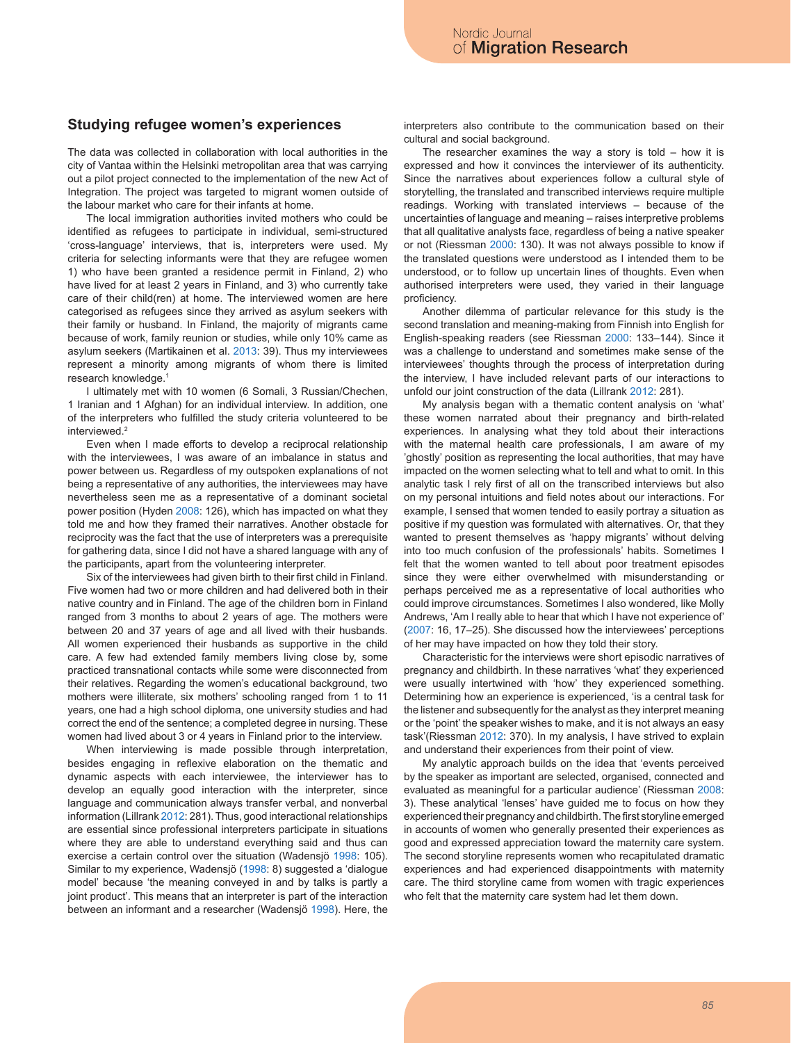## **Studying refugee women's experiences**

The data was collected in collaboration with local authorities in the city of Vantaa within the Helsinki metropolitan area that was carrying out a pilot project connected to the implementation of the new Act of Integration. The project was targeted to migrant women outside of the labour market who care for their infants at home.

The local immigration authorities invited mothers who could be identified as refugees to participate in individual, semi-structured 'cross-language' interviews, that is, interpreters were used. My criteria for selecting informants were that they are refugee women 1) who have been granted a residence permit in Finland, 2) who have lived for at least 2 years in Finland, and 3) who currently take care of their child(ren) at home. The interviewed women are here categorised as refugees since they arrived as asylum seekers with their family or husband. In Finland, the majority of migrants came because of work, family reunion or studies, while only 10% came as asylum seekers (Martikainen et al. 2013: 39). Thus my interviewees represent a minority among migrants of whom there is limited research knowledge.1

I ultimately met with 10 women (6 Somali, 3 Russian/Chechen, 1 Iranian and 1 Afghan) for an individual interview. In addition, one of the interpreters who fulfilled the study criteria volunteered to be interviewed.2

Even when I made efforts to develop a reciprocal relationship with the interviewees, I was aware of an imbalance in status and power between us. Regardless of my outspoken explanations of not being a representative of any authorities, the interviewees may have nevertheless seen me as a representative of a dominant societal power position (Hyden 2008: 126), which has impacted on what they told me and how they framed their narratives. Another obstacle for reciprocity was the fact that the use of interpreters was a prerequisite for gathering data, since I did not have a shared language with any of the participants, apart from the volunteering interpreter.

Six of the interviewees had given birth to their first child in Finland. Five women had two or more children and had delivered both in their native country and in Finland. The age of the children born in Finland ranged from 3 months to about 2 years of age. The mothers were between 20 and 37 years of age and all lived with their husbands. All women experienced their husbands as supportive in the child care. A few had extended family members living close by, some practiced transnational contacts while some were disconnected from their relatives. Regarding the women's educational background, two mothers were illiterate, six mothers' schooling ranged from 1 to 11 years, one had a high school diploma, one university studies and had correct the end of the sentence; a completed degree in nursing. These women had lived about 3 or 4 years in Finland prior to the interview.

When interviewing is made possible through interpretation, besides engaging in reflexive elaboration on the thematic and dynamic aspects with each interviewee, the interviewer has to develop an equally good interaction with the interpreter, since language and communication always transfer verbal, and nonverbal information (Lillrank 2012: 281). Thus, good interactional relationships are essential since professional interpreters participate in situations where they are able to understand everything said and thus can exercise a certain control over the situation (Wadensjö 1998: 105). Similar to my experience, Wadensjö (1998: 8) suggested a 'dialogue model' because 'the meaning conveyed in and by talks is partly a joint product'. This means that an interpreter is part of the interaction between an informant and a researcher (Wadensjö 1998). Here, the interpreters also contribute to the communication based on their cultural and social background.

The researcher examines the way a story is told  $-$  how it is expressed and how it convinces the interviewer of its authenticity. Since the narratives about experiences follow a cultural style of storytelling, the translated and transcribed interviews require multiple readings. Working with translated interviews – because of the uncertainties of language and meaning – raises interpretive problems that all qualitative analysts face, regardless of being a native speaker or not (Riessman 2000: 130). It was not always possible to know if the translated questions were understood as I intended them to be understood, or to follow up uncertain lines of thoughts. Even when authorised interpreters were used, they varied in their language proficiency.

Another dilemma of particular relevance for this study is the second translation and meaning-making from Finnish into English for English-speaking readers (see Riessman 2000: 133–144). Since it was a challenge to understand and sometimes make sense of the interviewees' thoughts through the process of interpretation during the interview, I have included relevant parts of our interactions to unfold our joint construction of the data (Lillrank 2012: 281).

My analysis began with a thematic content analysis on 'what' these women narrated about their pregnancy and birth-related experiences. In analysing what they told about their interactions with the maternal health care professionals, I am aware of my 'ghostly' position as representing the local authorities, that may have impacted on the women selecting what to tell and what to omit. In this analytic task I rely first of all on the transcribed interviews but also on my personal intuitions and field notes about our interactions. For example, I sensed that women tended to easily portray a situation as positive if my question was formulated with alternatives. Or, that they wanted to present themselves as 'happy migrants' without delving into too much confusion of the professionals' habits. Sometimes I felt that the women wanted to tell about poor treatment episodes since they were either overwhelmed with misunderstanding or perhaps perceived me as a representative of local authorities who could improve circumstances. Sometimes I also wondered, like Molly Andrews, 'Am I really able to hear that which I have not experience of' (2007: 16, 17–25). She discussed how the interviewees' perceptions of her may have impacted on how they told their story.

Characteristic for the interviews were short episodic narratives of pregnancy and childbirth. In these narratives 'what' they experienced were usually intertwined with 'how' they experienced something. Determining how an experience is experienced, 'is a central task for the listener and subsequently for the analyst as they interpret meaning or the 'point' the speaker wishes to make, and it is not always an easy task'(Riessman 2012: 370). In my analysis, I have strived to explain and understand their experiences from their point of view.

My analytic approach builds on the idea that 'events perceived by the speaker as important are selected, organised, connected and evaluated as meaningful for a particular audience' (Riessman 2008: 3). These analytical 'lenses' have guided me to focus on how they experienced their pregnancy and childbirth. The first storyline emerged in accounts of women who generally presented their experiences as good and expressed appreciation toward the maternity care system. The second storyline represents women who recapitulated dramatic experiences and had experienced disappointments with maternity care. The third storyline came from women with tragic experiences who felt that the maternity care system had let them down.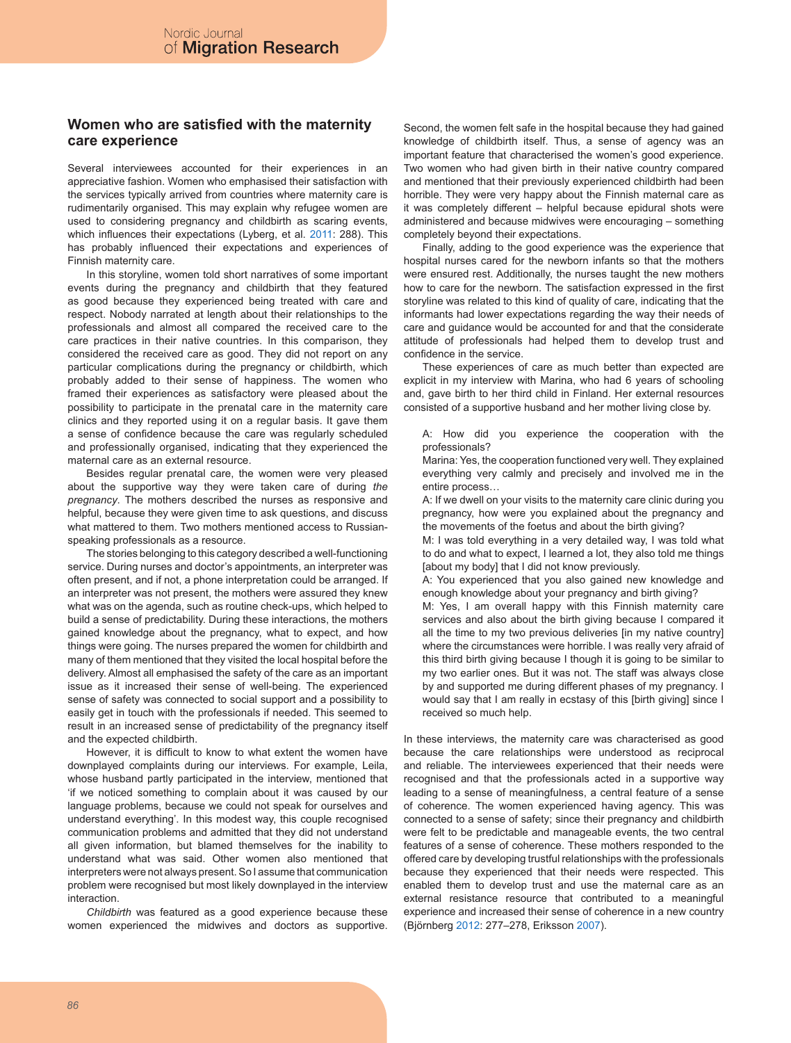## **Women who are satisfied with the maternity care experience**

Several interviewees accounted for their experiences in an appreciative fashion. Women who emphasised their satisfaction with the services typically arrived from countries where maternity care is rudimentarily organised. This may explain why refugee women are used to considering pregnancy and childbirth as scaring events, which influences their expectations (Lyberg, et al. 2011: 288). This has probably influenced their expectations and experiences of Finnish maternity care.

In this storyline, women told short narratives of some important events during the pregnancy and childbirth that they featured as good because they experienced being treated with care and respect. Nobody narrated at length about their relationships to the professionals and almost all compared the received care to the care practices in their native countries. In this comparison, they considered the received care as good. They did not report on any particular complications during the pregnancy or childbirth, which probably added to their sense of happiness. The women who framed their experiences as satisfactory were pleased about the possibility to participate in the prenatal care in the maternity care clinics and they reported using it on a regular basis. It gave them a sense of confidence because the care was regularly scheduled and professionally organised, indicating that they experienced the maternal care as an external resource.

Besides regular prenatal care, the women were very pleased about the supportive way they were taken care of during *the pregnancy*. The mothers described the nurses as responsive and helpful, because they were given time to ask questions, and discuss what mattered to them. Two mothers mentioned access to Russianspeaking professionals as a resource.

The stories belonging to this category described a well-functioning service. During nurses and doctor's appointments, an interpreter was often present, and if not, a phone interpretation could be arranged. If an interpreter was not present, the mothers were assured they knew what was on the agenda, such as routine check-ups, which helped to build a sense of predictability. During these interactions, the mothers gained knowledge about the pregnancy, what to expect, and how things were going. The nurses prepared the women for childbirth and many of them mentioned that they visited the local hospital before the delivery. Almost all emphasised the safety of the care as an important issue as it increased their sense of well-being. The experienced sense of safety was connected to social support and a possibility to easily get in touch with the professionals if needed. This seemed to result in an increased sense of predictability of the pregnancy itself and the expected childbirth.

However, it is difficult to know to what extent the women have downplayed complaints during our interviews. For example, Leila, whose husband partly participated in the interview, mentioned that 'if we noticed something to complain about it was caused by our language problems, because we could not speak for ourselves and understand everything'. In this modest way, this couple recognised communication problems and admitted that they did not understand all given information, but blamed themselves for the inability to understand what was said. Other women also mentioned that interpreters were not always present. So I assume that communication problem were recognised but most likely downplayed in the interview **interaction** 

*Childbirth* was featured as a good experience because these women experienced the midwives and doctors as supportive.

Second, the women felt safe in the hospital because they had gained knowledge of childbirth itself. Thus, a sense of agency was an important feature that characterised the women's good experience. Two women who had given birth in their native country compared and mentioned that their previously experienced childbirth had been horrible. They were very happy about the Finnish maternal care as it was completely different – helpful because epidural shots were administered and because midwives were encouraging – something completely beyond their expectations.

Finally, adding to the good experience was the experience that hospital nurses cared for the newborn infants so that the mothers were ensured rest. Additionally, the nurses taught the new mothers how to care for the newborn. The satisfaction expressed in the first storyline was related to this kind of quality of care, indicating that the informants had lower expectations regarding the way their needs of care and guidance would be accounted for and that the considerate attitude of professionals had helped them to develop trust and confidence in the service.

These experiences of care as much better than expected are explicit in my interview with Marina, who had 6 years of schooling and, gave birth to her third child in Finland. Her external resources consisted of a supportive husband and her mother living close by.

A: How did you experience the cooperation with the professionals?

Marina: Yes, the cooperation functioned very well. They explained everything very calmly and precisely and involved me in the entire process…

A: If we dwell on your visits to the maternity care clinic during you pregnancy, how were you explained about the pregnancy and the movements of the foetus and about the birth giving?

M: I was told everything in a very detailed way, I was told what to do and what to expect, I learned a lot, they also told me things [about my body] that I did not know previously.

A: You experienced that you also gained new knowledge and enough knowledge about your pregnancy and birth giving?

M: Yes, I am overall happy with this Finnish maternity care services and also about the birth giving because I compared it all the time to my two previous deliveries [in my native country] where the circumstances were horrible. I was really very afraid of this third birth giving because I though it is going to be similar to my two earlier ones. But it was not. The staff was always close by and supported me during different phases of my pregnancy. I would say that I am really in ecstasy of this [birth giving] since I received so much help.

In these interviews, the maternity care was characterised as good because the care relationships were understood as reciprocal and reliable. The interviewees experienced that their needs were recognised and that the professionals acted in a supportive way leading to a sense of meaningfulness, a central feature of a sense of coherence. The women experienced having agency. This was connected to a sense of safety; since their pregnancy and childbirth were felt to be predictable and manageable events, the two central features of a sense of coherence. These mothers responded to the offered care by developing trustful relationships with the professionals because they experienced that their needs were respected. This enabled them to develop trust and use the maternal care as an external resistance resource that contributed to a meaningful experience and increased their sense of coherence in a new country (Björnberg 2012: 277–278, Eriksson 2007).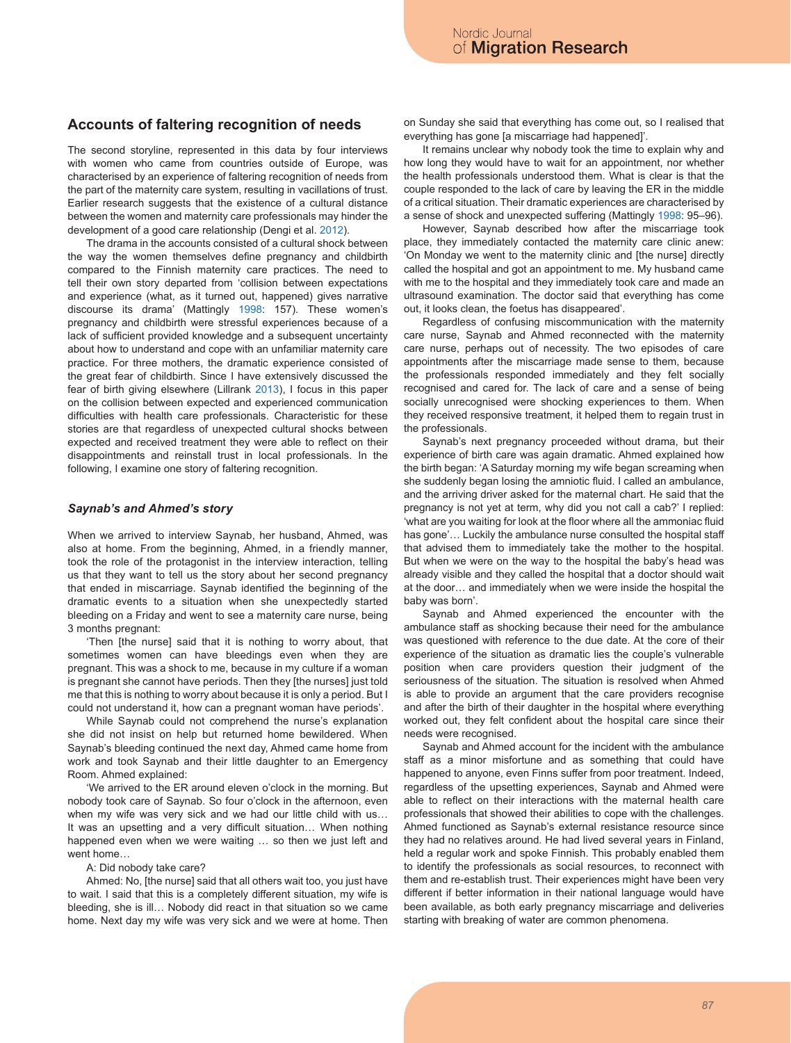## **Accounts of faltering recognition of needs**

The second storyline, represented in this data by four interviews with women who came from countries outside of Europe, was characterised by an experience of faltering recognition of needs from the part of the maternity care system, resulting in vacillations of trust. Earlier research suggests that the existence of a cultural distance between the women and maternity care professionals may hinder the development of a good care relationship (Dengi et al. 2012).

The drama in the accounts consisted of a cultural shock between the way the women themselves define pregnancy and childbirth compared to the Finnish maternity care practices. The need to tell their own story departed from 'collision between expectations and experience (what, as it turned out, happened) gives narrative discourse its drama' (Mattingly 1998: 157). These women's pregnancy and childbirth were stressful experiences because of a lack of sufficient provided knowledge and a subsequent uncertainty about how to understand and cope with an unfamiliar maternity care practice. For three mothers, the dramatic experience consisted of the great fear of childbirth. Since I have extensively discussed the fear of birth giving elsewhere (Lillrank 2013), I focus in this paper on the collision between expected and experienced communication difficulties with health care professionals. Characteristic for these stories are that regardless of unexpected cultural shocks between expected and received treatment they were able to reflect on their disappointments and reinstall trust in local professionals. In the following, I examine one story of faltering recognition.

## *Saynab's and Ahmed's story*

When we arrived to interview Saynab, her husband, Ahmed, was also at home. From the beginning, Ahmed, in a friendly manner, took the role of the protagonist in the interview interaction, telling us that they want to tell us the story about her second pregnancy that ended in miscarriage. Saynab identified the beginning of the dramatic events to a situation when she unexpectedly started bleeding on a Friday and went to see a maternity care nurse, being 3 months pregnant:

'Then [the nurse] said that it is nothing to worry about, that sometimes women can have bleedings even when they are pregnant. This was a shock to me, because in my culture if a woman is pregnant she cannot have periods. Then they [the nurses] just told me that this is nothing to worry about because it is only a period. But I could not understand it, how can a pregnant woman have periods'.

While Saynab could not comprehend the nurse's explanation she did not insist on help but returned home bewildered. When Saynab's bleeding continued the next day, Ahmed came home from work and took Saynab and their little daughter to an Emergency Room. Ahmed explained:

'We arrived to the ER around eleven o'clock in the morning. But nobody took care of Saynab. So four o'clock in the afternoon, even when my wife was very sick and we had our little child with us... It was an upsetting and a very difficult situation… When nothing happened even when we were waiting ... so then we just left and went home…

### A: Did nobody take care?

Ahmed: No, [the nurse] said that all others wait too, you just have to wait. I said that this is a completely different situation, my wife is bleeding, she is ill… Nobody did react in that situation so we came home. Next day my wife was very sick and we were at home. Then on Sunday she said that everything has come out, so I realised that everything has gone [a miscarriage had happened]'.

It remains unclear why nobody took the time to explain why and how long they would have to wait for an appointment, nor whether the health professionals understood them. What is clear is that the couple responded to the lack of care by leaving the ER in the middle of a critical situation. Their dramatic experiences are characterised by a sense of shock and unexpected suffering (Mattingly 1998: 95–96).

However, Saynab described how after the miscarriage took place, they immediately contacted the maternity care clinic anew: 'On Monday we went to the maternity clinic and [the nurse] directly called the hospital and got an appointment to me. My husband came with me to the hospital and they immediately took care and made an ultrasound examination. The doctor said that everything has come out, it looks clean, the foetus has disappeared'.

Regardless of confusing miscommunication with the maternity care nurse, Saynab and Ahmed reconnected with the maternity care nurse, perhaps out of necessity. The two episodes of care appointments after the miscarriage made sense to them, because the professionals responded immediately and they felt socially recognised and cared for. The lack of care and a sense of being socially unrecognised were shocking experiences to them. When they received responsive treatment, it helped them to regain trust in the professionals.

Saynab's next pregnancy proceeded without drama, but their experience of birth care was again dramatic. Ahmed explained how the birth began: 'A Saturday morning my wife began screaming when she suddenly began losing the amniotic fluid. I called an ambulance, and the arriving driver asked for the maternal chart. He said that the pregnancy is not yet at term, why did you not call a cab?' I replied: 'what are you waiting for look at the floor where all the ammoniac fluid has gone'... Luckily the ambulance nurse consulted the hospital staff that advised them to immediately take the mother to the hospital. But when we were on the way to the hospital the baby's head was already visible and they called the hospital that a doctor should wait at the door… and immediately when we were inside the hospital the baby was born'.

Saynab and Ahmed experienced the encounter with the ambulance staff as shocking because their need for the ambulance was questioned with reference to the due date. At the core of their experience of the situation as dramatic lies the couple's vulnerable position when care providers question their judgment of the seriousness of the situation. The situation is resolved when Ahmed is able to provide an argument that the care providers recognise and after the birth of their daughter in the hospital where everything worked out, they felt confident about the hospital care since their needs were recognised.

Saynab and Ahmed account for the incident with the ambulance staff as a minor misfortune and as something that could have happened to anyone, even Finns suffer from poor treatment. Indeed, regardless of the upsetting experiences, Saynab and Ahmed were able to reflect on their interactions with the maternal health care professionals that showed their abilities to cope with the challenges. Ahmed functioned as Saynab's external resistance resource since they had no relatives around. He had lived several years in Finland, held a regular work and spoke Finnish. This probably enabled them to identify the professionals as social resources, to reconnect with them and re-establish trust. Their experiences might have been very different if better information in their national language would have been available, as both early pregnancy miscarriage and deliveries starting with breaking of water are common phenomena.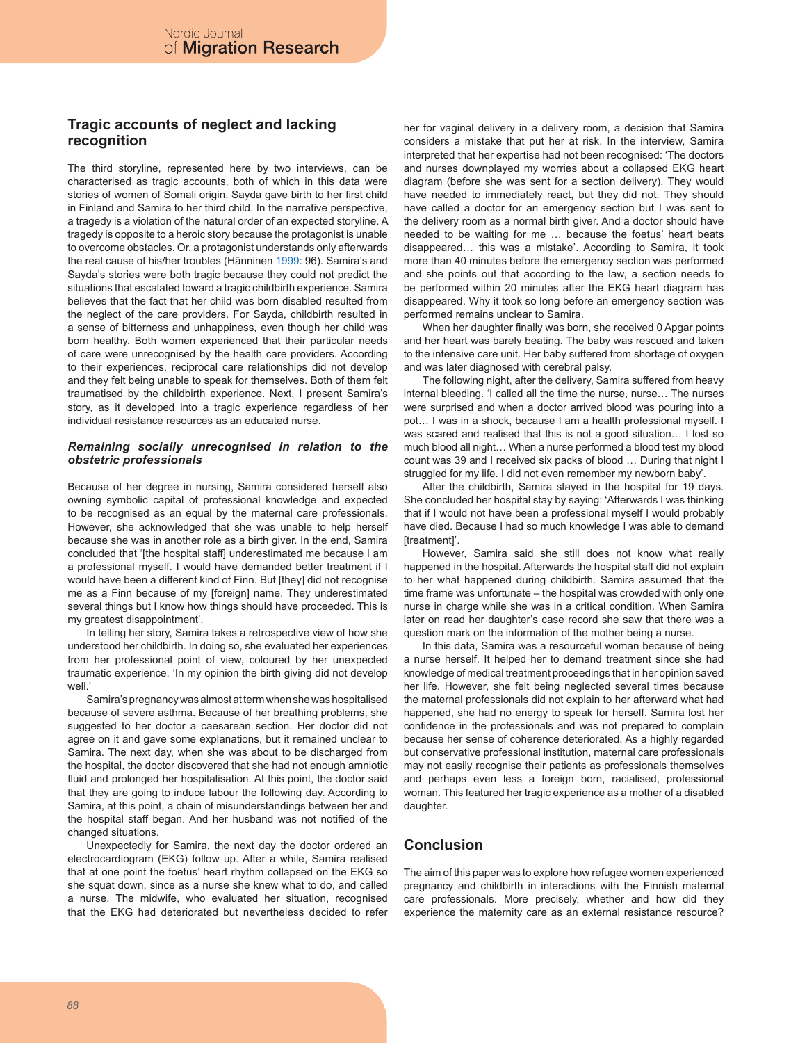# **Tragic accounts of neglect and lacking recognition**

The third storyline, represented here by two interviews, can be characterised as tragic accounts, both of which in this data were stories of women of Somali origin. Sayda gave birth to her first child in Finland and Samira to her third child. In the narrative perspective, a tragedy is a violation of the natural order of an expected storyline. A tragedy is opposite to a heroic story because the protagonist is unable to overcome obstacles. Or, a protagonist understands only afterwards the real cause of his/her troubles (Hänninen 1999: 96). Samira's and Sayda's stories were both tragic because they could not predict the situations that escalated toward a tragic childbirth experience. Samira believes that the fact that her child was born disabled resulted from the neglect of the care providers. For Sayda, childbirth resulted in a sense of bitterness and unhappiness, even though her child was born healthy. Both women experienced that their particular needs of care were unrecognised by the health care providers. According to their experiences, reciprocal care relationships did not develop and they felt being unable to speak for themselves. Both of them felt traumatised by the childbirth experience. Next, I present Samira's story, as it developed into a tragic experience regardless of her individual resistance resources as an educated nurse.

## *Remaining socially unrecognised in relation to the obstetric professionals*

Because of her degree in nursing, Samira considered herself also owning symbolic capital of professional knowledge and expected to be recognised as an equal by the maternal care professionals. However, she acknowledged that she was unable to help herself because she was in another role as a birth giver. In the end, Samira concluded that '[the hospital staff] underestimated me because I am a professional myself. I would have demanded better treatment if I would have been a different kind of Finn. But [they] did not recognise me as a Finn because of my [foreign] name. They underestimated several things but I know how things should have proceeded. This is my greatest disappointment'.

In telling her story, Samira takes a retrospective view of how she understood her childbirth. In doing so, she evaluated her experiences from her professional point of view, coloured by her unexpected traumatic experience, 'In my opinion the birth giving did not develop well.'

Samira's pregnancy was almost at term when she was hospitalised because of severe asthma. Because of her breathing problems, she suggested to her doctor a caesarean section. Her doctor did not agree on it and gave some explanations, but it remained unclear to Samira. The next day, when she was about to be discharged from the hospital, the doctor discovered that she had not enough amniotic fluid and prolonged her hospitalisation. At this point, the doctor said that they are going to induce labour the following day. According to Samira, at this point, a chain of misunderstandings between her and the hospital staff began. And her husband was not notified of the changed situations.

Unexpectedly for Samira, the next day the doctor ordered an electrocardiogram (EKG) follow up. After a while, Samira realised that at one point the foetus' heart rhythm collapsed on the EKG so she squat down, since as a nurse she knew what to do, and called a nurse. The midwife, who evaluated her situation, recognised that the EKG had deteriorated but nevertheless decided to refer

her for vaginal delivery in a delivery room, a decision that Samira considers a mistake that put her at risk. In the interview, Samira interpreted that her expertise had not been recognised: 'The doctors and nurses downplayed my worries about a collapsed EKG heart diagram (before she was sent for a section delivery). They would have needed to immediately react, but they did not. They should have called a doctor for an emergency section but I was sent to the delivery room as a normal birth giver. And a doctor should have needed to be waiting for me … because the foetus' heart beats disappeared… this was a mistake'. According to Samira, it took more than 40 minutes before the emergency section was performed and she points out that according to the law, a section needs to be performed within 20 minutes after the EKG heart diagram has disappeared. Why it took so long before an emergency section was performed remains unclear to Samira.

When her daughter finally was born, she received 0 Apgar points and her heart was barely beating. The baby was rescued and taken to the intensive care unit. Her baby suffered from shortage of oxygen and was later diagnosed with cerebral palsy.

The following night, after the delivery, Samira suffered from heavy internal bleeding. 'I called all the time the nurse, nurse… The nurses were surprised and when a doctor arrived blood was pouring into a pot… I was in a shock, because I am a health professional myself. I was scared and realised that this is not a good situation… I lost so much blood all night… When a nurse performed a blood test my blood count was 39 and I received six packs of blood … During that night I struggled for my life. I did not even remember my newborn baby'.

After the childbirth, Samira stayed in the hospital for 19 days. She concluded her hospital stay by saying: 'Afterwards I was thinking that if I would not have been a professional myself I would probably have died. Because I had so much knowledge I was able to demand [treatment]'.

However, Samira said she still does not know what really happened in the hospital. Afterwards the hospital staff did not explain to her what happened during childbirth. Samira assumed that the time frame was unfortunate – the hospital was crowded with only one nurse in charge while she was in a critical condition. When Samira later on read her daughter's case record she saw that there was a question mark on the information of the mother being a nurse.

In this data, Samira was a resourceful woman because of being a nurse herself. It helped her to demand treatment since she had knowledge of medical treatment proceedings that in her opinion saved her life. However, she felt being neglected several times because the maternal professionals did not explain to her afterward what had happened, she had no energy to speak for herself. Samira lost her confidence in the professionals and was not prepared to complain because her sense of coherence deteriorated. As a highly regarded but conservative professional institution, maternal care professionals may not easily recognise their patients as professionals themselves and perhaps even less a foreign born, racialised, professional woman. This featured her tragic experience as a mother of a disabled daughter.

# **Conclusion**

The aim of this paper was to explore how refugee women experienced pregnancy and childbirth in interactions with the Finnish maternal care professionals. More precisely, whether and how did they experience the maternity care as an external resistance resource?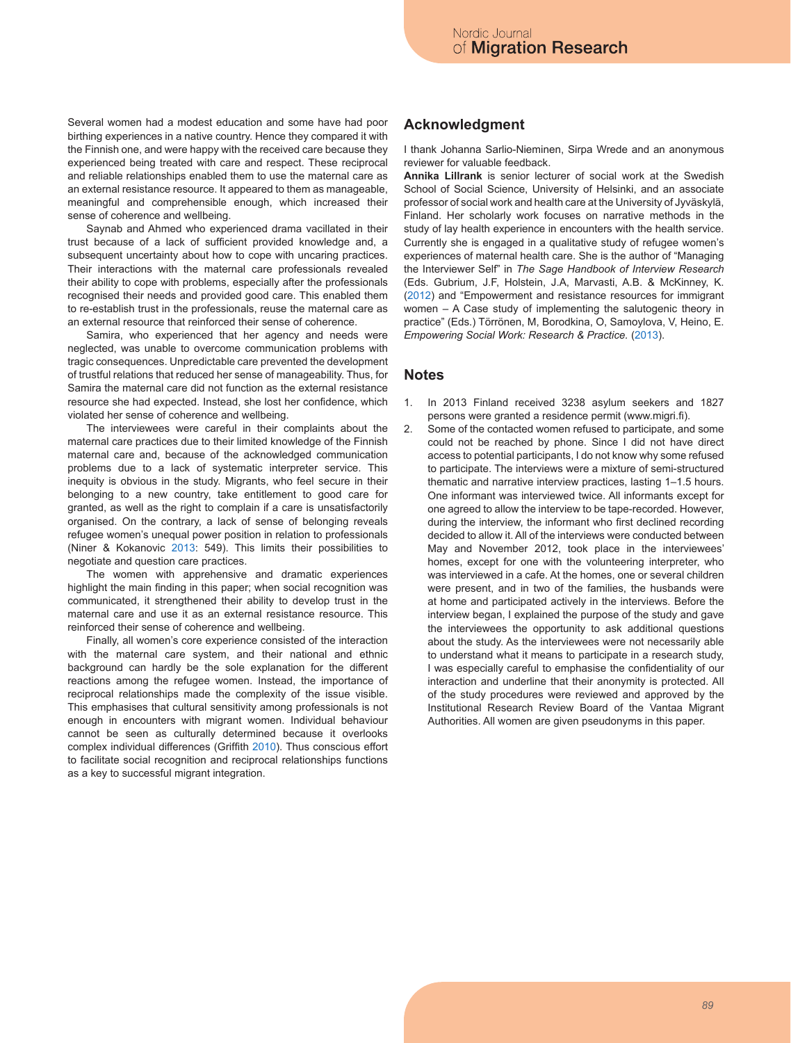Several women had a modest education and some have had poor birthing experiences in a native country. Hence they compared it with the Finnish one, and were happy with the received care because they experienced being treated with care and respect. These reciprocal and reliable relationships enabled them to use the maternal care as an external resistance resource. It appeared to them as manageable, meaningful and comprehensible enough, which increased their sense of coherence and wellbeing.

Saynab and Ahmed who experienced drama vacillated in their trust because of a lack of sufficient provided knowledge and, a subsequent uncertainty about how to cope with uncaring practices. Their interactions with the maternal care professionals revealed their ability to cope with problems, especially after the professionals recognised their needs and provided good care. This enabled them to re-establish trust in the professionals, reuse the maternal care as an external resource that reinforced their sense of coherence.

Samira, who experienced that her agency and needs were neglected, was unable to overcome communication problems with tragic consequences. Unpredictable care prevented the development of trustful relations that reduced her sense of manageability. Thus, for Samira the maternal care did not function as the external resistance resource she had expected. Instead, she lost her confidence, which violated her sense of coherence and wellbeing.

The interviewees were careful in their complaints about the maternal care practices due to their limited knowledge of the Finnish maternal care and, because of the acknowledged communication problems due to a lack of systematic interpreter service. This inequity is obvious in the study. Migrants, who feel secure in their belonging to a new country, take entitlement to good care for granted, as well as the right to complain if a care is unsatisfactorily organised. On the contrary, a lack of sense of belonging reveals refugee women's unequal power position in relation to professionals (Niner & Kokanovic 2013: 549). This limits their possibilities to negotiate and question care practices.

The women with apprehensive and dramatic experiences highlight the main finding in this paper; when social recognition was communicated, it strengthened their ability to develop trust in the maternal care and use it as an external resistance resource. This reinforced their sense of coherence and wellbeing.

Finally, all women's core experience consisted of the interaction with the maternal care system, and their national and ethnic background can hardly be the sole explanation for the different reactions among the refugee women. Instead, the importance of reciprocal relationships made the complexity of the issue visible. This emphasises that cultural sensitivity among professionals is not enough in encounters with migrant women. Individual behaviour cannot be seen as culturally determined because it overlooks complex individual differences (Griffith 2010). Thus conscious effort to facilitate social recognition and reciprocal relationships functions as a key to successful migrant integration.

## **Acknowledgment**

I thank Johanna Sarlio-Nieminen, Sirpa Wrede and an anonymous reviewer for valuable feedback.

**Annika Lillrank** is senior lecturer of social work at the Swedish School of Social Science, University of Helsinki, and an associate professor of social work and health care at the University of Jyväskylä, Finland. Her scholarly work focuses on narrative methods in the study of lay health experience in encounters with the health service. Currently she is engaged in a qualitative study of refugee women's experiences of maternal health care. She is the author of "Managing the Interviewer Self" in *The Sage Handbook of Interview Research*  (Eds. Gubrium, J.F, Holstein, J.A, Marvasti, A.B. & McKinney, K. (2012) and "Empowerment and resistance resources for immigrant women – A Case study of implementing the salutogenic theory in practice" (Eds.) Törrönen, M, Borodkina, O, Samoylova, V, Heino, E. *Empowering Social Work: Research & Practice.* (2013).

## **Notes**

- 1. In 2013 Finland received 3238 asylum seekers and 1827 persons were granted a residence permit (www.migri.fi).
- 2. Some of the contacted women refused to participate, and some could not be reached by phone. Since I did not have direct access to potential participants, I do not know why some refused to participate. The interviews were a mixture of semi-structured thematic and narrative interview practices, lasting 1–1.5 hours. One informant was interviewed twice. All informants except for one agreed to allow the interview to be tape-recorded. However, during the interview, the informant who first declined recording decided to allow it. All of the interviews were conducted between May and November 2012, took place in the interviewees' homes, except for one with the volunteering interpreter, who was interviewed in a cafe. At the homes, one or several children were present, and in two of the families, the husbands were at home and participated actively in the interviews. Before the interview began, I explained the purpose of the study and gave the interviewees the opportunity to ask additional questions about the study. As the interviewees were not necessarily able to understand what it means to participate in a research study, I was especially careful to emphasise the confidentiality of our interaction and underline that their anonymity is protected. All of the study procedures were reviewed and approved by the Institutional Research Review Board of the Vantaa Migrant Authorities. All women are given pseudonyms in this paper.